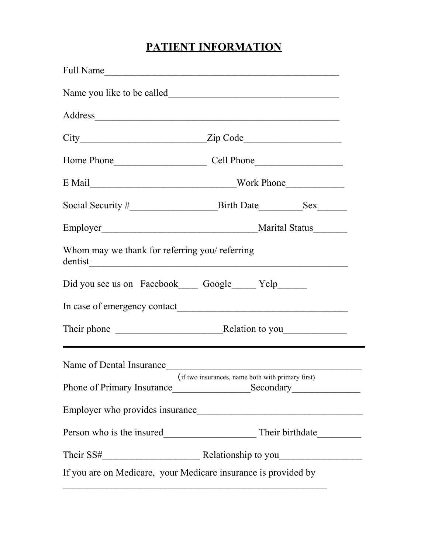# **PATIENT INFORMATION**

| Full Name                                                      |                                                                                  |  |  |
|----------------------------------------------------------------|----------------------------------------------------------------------------------|--|--|
|                                                                |                                                                                  |  |  |
|                                                                |                                                                                  |  |  |
|                                                                |                                                                                  |  |  |
|                                                                |                                                                                  |  |  |
|                                                                |                                                                                  |  |  |
|                                                                |                                                                                  |  |  |
|                                                                |                                                                                  |  |  |
| Whom may we thank for referring you/ referring                 |                                                                                  |  |  |
| Did you see us on Facebook Google Yelp                         |                                                                                  |  |  |
|                                                                |                                                                                  |  |  |
|                                                                | ,我们也不会有什么。""我们的人,我们也不会有什么?""我们的人,我们也不会有什么?""我们的人,我们也不会有什么?""我们的人,我们也不会有什么?""我们的人 |  |  |
| Name of Dental Insurance                                       |                                                                                  |  |  |
| (if two insurances, name both with primary first)              |                                                                                  |  |  |
|                                                                |                                                                                  |  |  |
|                                                                |                                                                                  |  |  |
|                                                                |                                                                                  |  |  |
| If you are on Medicare, your Medicare insurance is provided by |                                                                                  |  |  |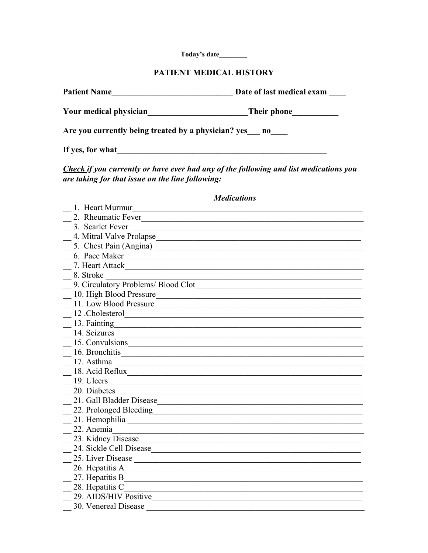Today's date\_\_\_\_\_\_\_

#### PATIENT MEDICAL HISTORY

| <b>Patient Name</b>                                 | Date of last medical exam |  |
|-----------------------------------------------------|---------------------------|--|
| Your medical physician                              | Their phone               |  |
| Are you currently being treated by a physician? yes | no                        |  |
| If yes, for what                                    |                           |  |

Check if you currently or have ever had any of the following and list medications you are taking for that issue on the line following:

#### **Medications** 1. Heart Murmur<br>1. Heart Murmur 2. Rheumatic Fever 3. Scarlet Fever 5. Chest Pain (Angina) Santa Chest Pain (Angina) 6. Pace Maker 2008 and 2008 and 2008 and 2008 and 2008 and 2008 and 2008 and 2008 and 2008 and 2008 and 2008 and 2008 and 2008 and 2008 and 2008 and 2008 and 2008 and 2008 and 2008 and 2008 and 2008 and 2008 and 2008 and 2 7. Heart Attack Theory of the Community of the Community of the Community of the Community of the Community of the Community of the Community of the Community of the Community of the Community of the Community of the Commu  $\frac{8. \text{Stroke}}{2}$ 9. Circulatory Problems/ Blood Clot 10. High Blood Pressure 11. Low Blood Pressure 12 Cholesterol  $\frac{14. \text{Seizures}}{14. \text{Seizures}}$ 15. Convulsions  $\frac{16.$  Bronchitis  $\frac{17. A^{2}}{2}$  Asthma 18. Acid Reflux 19. Ulcers  $\frac{20}{20}$ . Diabetes 21. Gall Bladder Disease 1986 and 1987 and 1988 and 1988 and 1988 and 1988 and 1988 and 1988 and 1988 and 1988 and 1988 and 1988 and 1988 and 1988 and 1988 and 1988 and 1988 and 1988 and 1988 and 1988 and 1988 and 1988 and 22. Prolonged Bleeding 22. Prolonged Bleeding  $\frac{21}{21}$ . Hemophilia 23. Kidney Disease 24. Sickle Cell Disease Manuel Alexandre Control and State Cell Disease Manuel Alexandre Control and State Cel  $\sim$  26. Hepatitis A 27. Hepatitis B 28. Hepatitis C<sub>2</sub> and T<sub>2</sub> and T<sub>2</sub> and T<sub>2</sub> and T<sub>2</sub> and T<sub>2</sub> and T<sub>2</sub> and T<sub>2</sub> and T<sub>2</sub> and T<sub>2</sub> and T<sub>2</sub> and T<sub>2</sub> and T<sub>2</sub> and T<sub>2</sub> and T<sub>2</sub> and T<sub>2</sub> and T<sub>2</sub> and T<sub>2</sub> and T<sub>2</sub> and T<sub>2</sub> and T<sub>2</sub> and T<sub>2</sub> and T<sub>2</sub> and T 29. AIDS/HIV Positive 30. Venereal Disease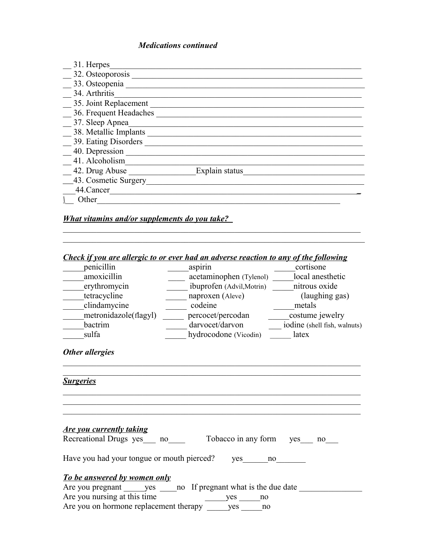#### *Medications continued*

| 31. Herpes             |                |
|------------------------|----------------|
| 32. Osteoporosis       |                |
| 33. Osteopenia         |                |
| 34. Arthritis          |                |
| 35. Joint Replacement  |                |
| 36. Frequent Headaches |                |
| 37. Sleep Apnea        |                |
| 38. Metallic Implants  |                |
| 39. Eating Disorders   |                |
| 40. Depression         |                |
| 41. Alcoholism         |                |
| 42. Drug Abuse         | Explain status |
| 43. Cosmetic Surgery   |                |
| 44.Cancer              |                |
| Other                  |                |

### *What vitamins and/or supplements do you take?*

### *Check if you are allergic to or ever had an adverse reaction to any of the following*

 $\mathcal{L}_\text{max} = \mathcal{L}_\text{max} = \mathcal{L}_\text{max} = \mathcal{L}_\text{max} = \mathcal{L}_\text{max} = \mathcal{L}_\text{max} = \mathcal{L}_\text{max} = \mathcal{L}_\text{max} = \mathcal{L}_\text{max} = \mathcal{L}_\text{max} = \mathcal{L}_\text{max} = \mathcal{L}_\text{max} = \mathcal{L}_\text{max} = \mathcal{L}_\text{max} = \mathcal{L}_\text{max} = \mathcal{L}_\text{max} = \mathcal{L}_\text{max} = \mathcal{L}_\text{max} = \mathcal{$  $\mathcal{L}_\text{max}$  , and the contribution of the contribution of the contribution of the contribution of the contribution of the contribution of the contribution of the contribution of the contribution of the contribution of t

| penicillin                                                   | aspirin                                                                 | cortisone      |
|--------------------------------------------------------------|-------------------------------------------------------------------------|----------------|
| amoxicillin                                                  | acetaminophen (Tylenol) ______ local anesthetic                         |                |
| erythromycin                                                 | ibuprofen (Advil, Motrin) _______ nitrous oxide                         |                |
| tetracycline                                                 | naproxen (Aleve)                                                        | (laughing gas) |
| clindamycine                                                 | codeine                                                                 | metals         |
| metronidazole(flagyl)                                        | percocet/percodan _______________costume jewelry                        |                |
| bactrim                                                      |                                                                         |                |
| sulfa                                                        | hydrocodone (Vicodin) _______ latex                                     |                |
| Other allergies                                              |                                                                         |                |
| <b>Surgeries</b>                                             |                                                                         |                |
| <b>Are you currently taking</b><br>Recreational Drugs yes no | Tobacco in any form yes no                                              |                |
| Have you had your tongue or mouth pierced?                   | yes no                                                                  |                |
| <b>To be answered by women only</b>                          |                                                                         |                |
|                                                              | Are you pregnant _______ yes ______ no If pregnant what is the due date |                |
| Are you nursing at this time                                 | yes no                                                                  |                |
| Are you on hormone replacement therapy ______ yes ______ no  |                                                                         |                |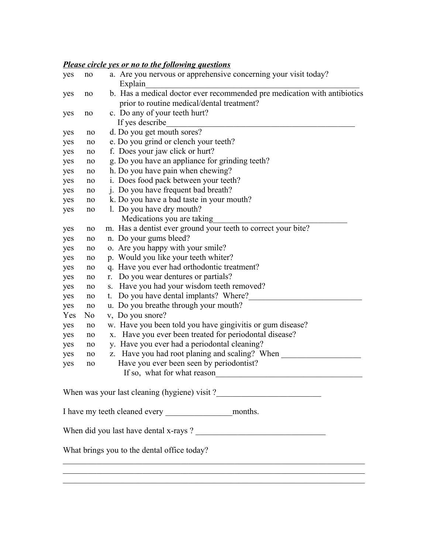#### *Please circle yes or no to the following questions*

| yes                                                                    | no                                                   | a. Are you nervous or apprehensive concerning your visit today?<br>Explain |  |  |  |
|------------------------------------------------------------------------|------------------------------------------------------|----------------------------------------------------------------------------|--|--|--|
| yes                                                                    | no                                                   | b. Has a medical doctor ever recommended pre medication with antibiotics   |  |  |  |
|                                                                        |                                                      | prior to routine medical/dental treatment?                                 |  |  |  |
| yes                                                                    | no                                                   | c. Do any of your teeth hurt?                                              |  |  |  |
|                                                                        |                                                      | If yes describe                                                            |  |  |  |
| yes                                                                    | no                                                   | d. Do you get mouth sores?                                                 |  |  |  |
| yes                                                                    | no                                                   | e. Do you grind or clench your teeth?                                      |  |  |  |
| yes                                                                    | no                                                   | f. Does your jaw click or hurt?                                            |  |  |  |
| yes                                                                    | no                                                   | g. Do you have an appliance for grinding teeth?                            |  |  |  |
| yes                                                                    | no                                                   | h. Do you have pain when chewing?                                          |  |  |  |
| yes                                                                    | no                                                   | i. Does food pack between your teeth?                                      |  |  |  |
| yes                                                                    | no                                                   | j. Do you have frequent bad breath?                                        |  |  |  |
| yes                                                                    | no                                                   | k. Do you have a bad taste in your mouth?                                  |  |  |  |
| yes                                                                    | no                                                   | 1. Do you have dry mouth?                                                  |  |  |  |
|                                                                        |                                                      | Medications you are taking                                                 |  |  |  |
| yes                                                                    | no                                                   | m. Has a dentist ever ground your teeth to correct your bite?              |  |  |  |
| yes                                                                    | n. Do your gums bleed?<br>no                         |                                                                            |  |  |  |
| yes                                                                    | o. Are you happy with your smile?<br>no              |                                                                            |  |  |  |
| yes                                                                    | p. Would you like your teeth whiter?<br>no           |                                                                            |  |  |  |
| yes                                                                    | q. Have you ever had orthodontic treatment?<br>no    |                                                                            |  |  |  |
| yes                                                                    | Do you wear dentures or partials?<br>r.<br>no        |                                                                            |  |  |  |
| yes                                                                    | Have you had your wisdom teeth removed?<br>S.<br>no  |                                                                            |  |  |  |
| Do you have dental implants? Where?<br>yes<br>no                       |                                                      |                                                                            |  |  |  |
| u. Do you breathe through your mouth?<br>yes<br>no                     |                                                      |                                                                            |  |  |  |
| v, Do you snore?<br>Yes<br>No                                          |                                                      |                                                                            |  |  |  |
| w. Have you been told you have gingivitis or gum disease?<br>yes<br>no |                                                      |                                                                            |  |  |  |
| Have you ever been treated for periodontal disease?<br>X.<br>yes<br>no |                                                      |                                                                            |  |  |  |
| yes                                                                    | y. Have you ever had a periodontal cleaning?<br>no   |                                                                            |  |  |  |
| yes                                                                    | z. Have you had root planing and scaling? When<br>no |                                                                            |  |  |  |
| yes                                                                    | no                                                   | Have you ever been seen by periodontist?                                   |  |  |  |
|                                                                        |                                                      | If so, what for what reason                                                |  |  |  |
|                                                                        |                                                      |                                                                            |  |  |  |
|                                                                        |                                                      |                                                                            |  |  |  |
|                                                                        |                                                      |                                                                            |  |  |  |
|                                                                        |                                                      | What brings you to the dental office today?                                |  |  |  |
|                                                                        |                                                      |                                                                            |  |  |  |
|                                                                        |                                                      |                                                                            |  |  |  |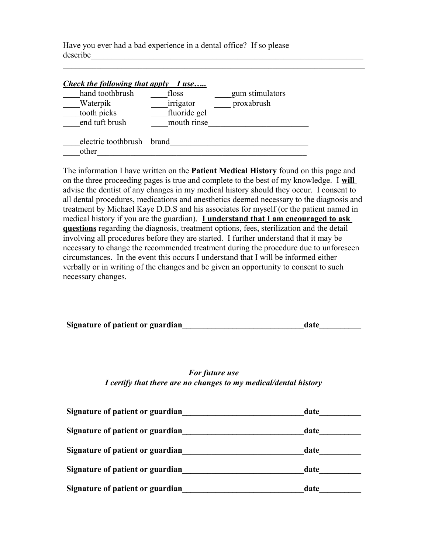Have you ever had a bad experience in a dental office? If so please describe\_\_\_\_\_\_\_\_\_\_\_\_\_\_\_\_\_\_\_\_\_\_\_\_\_\_\_\_\_\_\_\_\_\_\_\_\_\_\_\_\_\_\_\_\_\_\_\_\_\_\_\_\_\_\_\_\_\_\_\_\_\_\_\_\_

| <b>Check the following that apply I use</b> |              |                 |
|---------------------------------------------|--------------|-----------------|
| hand toothbrush                             | floss        | gum stimulators |
| Waterpik                                    | irrigator    | proxabrush      |
| tooth picks                                 | fluoride gel |                 |
| end tuft brush                              | mouth rinse  |                 |
| electric toothbrush brand                   |              |                 |
| other                                       |              |                 |

 $\mathcal{L}_\text{max}$  , and the contribution of the contribution of the contribution of the contribution of the contribution of the contribution of the contribution of the contribution of the contribution of the contribution of t

The information I have written on the **Patient Medical History** found on this page and on the three proceeding pages is true and complete to the best of my knowledge. I **will**  advise the dentist of any changes in my medical history should they occur. I consent to all dental procedures, medications and anesthetics deemed necessary to the diagnosis and treatment by Michael Kaye D.D.S and his associates for myself (or the patient named in medical history if you are the guardian). **I understand that I am encouraged to ask questions** regarding the diagnosis, treatment options, fees, sterilization and the detail involving all procedures before they are started. I further understand that it may be necessary to change the recommended treatment during the procedure due to unforeseen circumstances. In the event this occurs I understand that I will be informed either verbally or in writing of the changes and be given an opportunity to consent to such necessary changes.

| Signature of patient or guardian | date |  |
|----------------------------------|------|--|
|                                  |      |  |

*For future use I certify that there are no changes to my medical/dental history*

| Signature of patient or guardian | date |
|----------------------------------|------|
| Signature of patient or guardian | date |
| Signature of patient or guardian | date |
| Signature of patient or guardian | date |
| Signature of patient or guardian | date |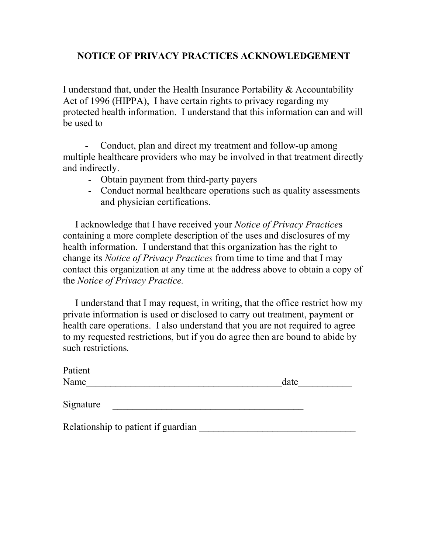# **NOTICE OF PRIVACY PRACTICES ACKNOWLEDGEMENT**

I understand that, under the Health Insurance Portability & Accountability Act of 1996 (HIPPA), I have certain rights to privacy regarding my protected health information. I understand that this information can and will be used to

 - Conduct, plan and direct my treatment and follow-up among multiple healthcare providers who may be involved in that treatment directly and indirectly.

- Obtain payment from third-party payers
- Conduct normal healthcare operations such as quality assessments and physician certifications.

 I acknowledge that I have received your *Notice of Privacy Practice*s containing a more complete description of the uses and disclosures of my health information. I understand that this organization has the right to change its *Notice of Privacy Practices* from time to time and that I may contact this organization at any time at the address above to obtain a copy of the *Notice of Privacy Practice.*

I understand that I may request, in writing, that the office restrict how my private information is used or disclosed to carry out treatment, payment or health care operations. I also understand that you are not required to agree to my requested restrictions, but if you do agree then are bound to abide by such restrictions*.*

| Patient                             |      |
|-------------------------------------|------|
| Name                                | date |
| Signature                           |      |
| Relationship to patient if guardian |      |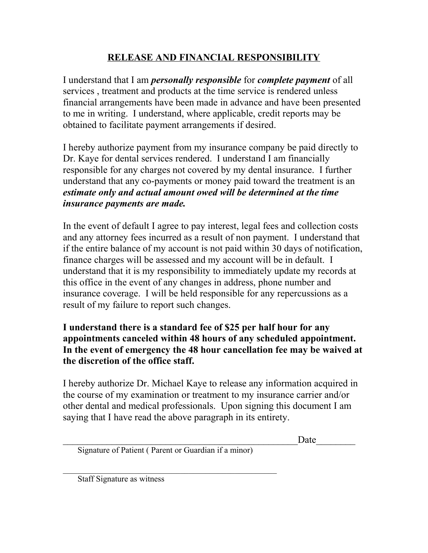# **RELEASE AND FINANCIAL RESPONSIBILITY**

I understand that I am *personally responsible* for *complete payment* of all services , treatment and products at the time service is rendered unless financial arrangements have been made in advance and have been presented to me in writing. I understand, where applicable, credit reports may be obtained to facilitate payment arrangements if desired.

I hereby authorize payment from my insurance company be paid directly to Dr. Kaye for dental services rendered. I understand I am financially responsible for any charges not covered by my dental insurance. I further understand that any co-payments or money paid toward the treatment is an *estimate only and actual amount owed will be determined at the time insurance payments are made.* 

In the event of default I agree to pay interest, legal fees and collection costs and any attorney fees incurred as a result of non payment. I understand that if the entire balance of my account is not paid within 30 days of notification, finance charges will be assessed and my account will be in default. I understand that it is my responsibility to immediately update my records at this office in the event of any changes in address, phone number and insurance coverage. I will be held responsible for any repercussions as a result of my failure to report such changes.

## **I understand there is a standard fee of \$25 per half hour for any appointments canceled within 48 hours of any scheduled appointment. In the event of emergency the 48 hour cancellation fee may be waived at the discretion of the office staff.**

I hereby authorize Dr. Michael Kaye to release any information acquired in the course of my examination or treatment to my insurance carrier and/or other dental and medical professionals. Upon signing this document I am saying that I have read the above paragraph in its entirety.

\_\_\_\_\_\_\_\_\_\_\_\_\_\_\_\_\_\_\_\_\_\_\_\_\_\_\_\_\_\_\_\_\_\_\_\_\_\_\_\_\_\_\_\_\_\_\_\_Date\_\_\_\_\_\_\_\_

Signature of Patient ( Parent or Guardian if a minor)

 $\mathcal{L}_\text{max}$  and the contract of the contract of the contract of the contract of the contract of the contract of the contract of the contract of the contract of the contract of the contract of the contract of the contrac

Staff Signature as witness